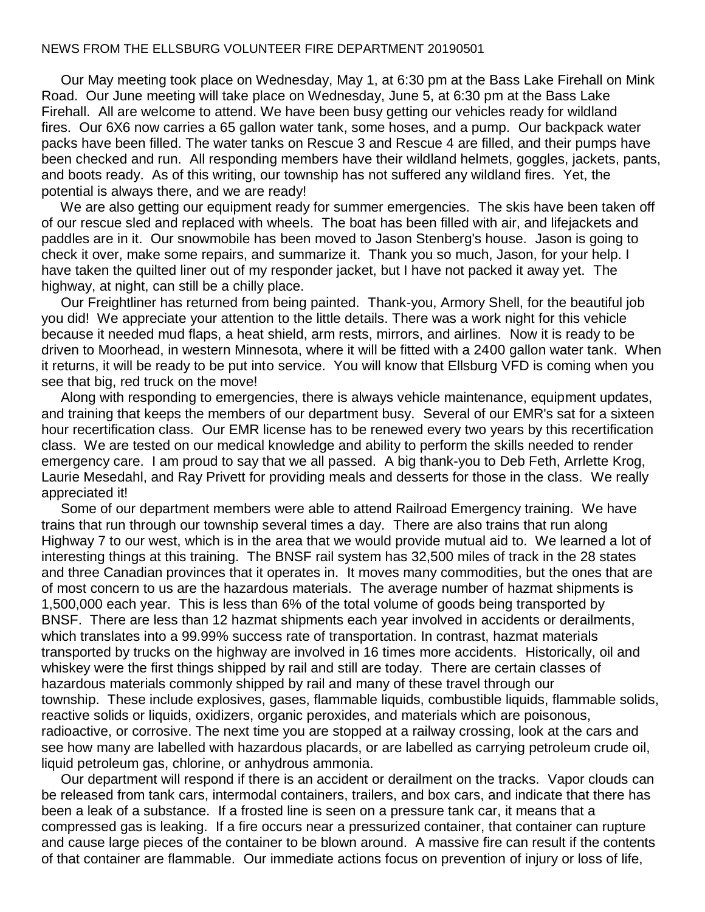## NEWS FROM THE ELLSBURG VOLUNTEER FIRE DEPARTMENT 20190501

 Our May meeting took place on Wednesday, May 1, at 6:30 pm at the Bass Lake Firehall on Mink Road. Our June meeting will take place on Wednesday, June 5, at 6:30 pm at the Bass Lake Firehall. All are welcome to attend. We have been busy getting our vehicles ready for wildland fires. Our 6X6 now carries a 65 gallon water tank, some hoses, and a pump. Our backpack water packs have been filled. The water tanks on Rescue 3 and Rescue 4 are filled, and their pumps have been checked and run. All responding members have their wildland helmets, goggles, jackets, pants, and boots ready. As of this writing, our township has not suffered any wildland fires. Yet, the potential is always there, and we are ready!

 We are also getting our equipment ready for summer emergencies. The skis have been taken off of our rescue sled and replaced with wheels. The boat has been filled with air, and lifejackets and paddles are in it. Our snowmobile has been moved to Jason Stenberg's house. Jason is going to check it over, make some repairs, and summarize it. Thank you so much, Jason, for your help. I have taken the quilted liner out of my responder jacket, but I have not packed it away yet. The highway, at night, can still be a chilly place.

 Our Freightliner has returned from being painted. Thank-you, Armory Shell, for the beautiful job you did! We appreciate your attention to the little details. There was a work night for this vehicle because it needed mud flaps, a heat shield, arm rests, mirrors, and airlines. Now it is ready to be driven to Moorhead, in western Minnesota, where it will be fitted with a 2400 gallon water tank. When it returns, it will be ready to be put into service. You will know that Ellsburg VFD is coming when you see that big, red truck on the move!

 Along with responding to emergencies, there is always vehicle maintenance, equipment updates, and training that keeps the members of our department busy. Several of our EMR's sat for a sixteen hour recertification class. Our EMR license has to be renewed every two years by this recertification class. We are tested on our medical knowledge and ability to perform the skills needed to render emergency care. I am proud to say that we all passed. A big thank-you to Deb Feth, Arrlette Krog, Laurie Mesedahl, and Ray Privett for providing meals and desserts for those in the class. We really appreciated it!

 Some of our department members were able to attend Railroad Emergency training. We have trains that run through our township several times a day. There are also trains that run along Highway 7 to our west, which is in the area that we would provide mutual aid to. We learned a lot of interesting things at this training. The BNSF rail system has 32,500 miles of track in the 28 states and three Canadian provinces that it operates in. It moves many commodities, but the ones that are of most concern to us are the hazardous materials. The average number of hazmat shipments is 1,500,000 each year. This is less than 6% of the total volume of goods being transported by BNSF. There are less than 12 hazmat shipments each year involved in accidents or derailments, which translates into a 99.99% success rate of transportation. In contrast, hazmat materials transported by trucks on the highway are involved in 16 times more accidents. Historically, oil and whiskey were the first things shipped by rail and still are today. There are certain classes of hazardous materials commonly shipped by rail and many of these travel through our township. These include explosives, gases, flammable liquids, combustible liquids, flammable solids, reactive solids or liquids, oxidizers, organic peroxides, and materials which are poisonous, radioactive, or corrosive. The next time you are stopped at a railway crossing, look at the cars and see how many are labelled with hazardous placards, or are labelled as carrying petroleum crude oil, liquid petroleum gas, chlorine, or anhydrous ammonia.

 Our department will respond if there is an accident or derailment on the tracks. Vapor clouds can be released from tank cars, intermodal containers, trailers, and box cars, and indicate that there has been a leak of a substance. If a frosted line is seen on a pressure tank car, it means that a compressed gas is leaking. If a fire occurs near a pressurized container, that container can rupture and cause large pieces of the container to be blown around. A massive fire can result if the contents of that container are flammable. Our immediate actions focus on prevention of injury or loss of life,